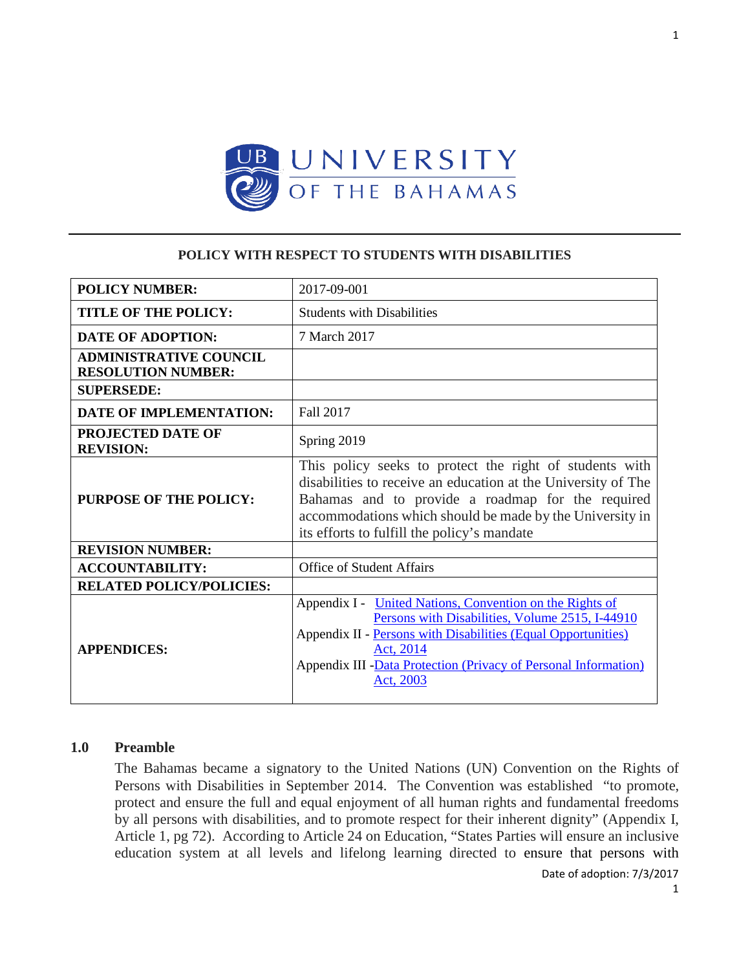

### **POLICY WITH RESPECT TO STUDENTS WITH DISABILITIES**

| <b>POLICY NUMBER:</b>                                      | 2017-09-001                                                                                                                                                                                                                                                                              |
|------------------------------------------------------------|------------------------------------------------------------------------------------------------------------------------------------------------------------------------------------------------------------------------------------------------------------------------------------------|
| <b>TITLE OF THE POLICY:</b>                                | <b>Students with Disabilities</b>                                                                                                                                                                                                                                                        |
| <b>DATE OF ADOPTION:</b>                                   | 7 March 2017                                                                                                                                                                                                                                                                             |
| <b>ADMINISTRATIVE COUNCIL</b><br><b>RESOLUTION NUMBER:</b> |                                                                                                                                                                                                                                                                                          |
| <b>SUPERSEDE:</b>                                          |                                                                                                                                                                                                                                                                                          |
| DATE OF IMPLEMENTATION:                                    | <b>Fall 2017</b>                                                                                                                                                                                                                                                                         |
| <b>PROJECTED DATE OF</b><br><b>REVISION:</b>               | Spring 2019                                                                                                                                                                                                                                                                              |
| <b>PURPOSE OF THE POLICY:</b>                              | This policy seeks to protect the right of students with<br>disabilities to receive an education at the University of The<br>Bahamas and to provide a roadmap for the required<br>accommodations which should be made by the University in<br>its efforts to fulfill the policy's mandate |
| <b>REVISION NUMBER:</b>                                    |                                                                                                                                                                                                                                                                                          |
| <b>ACCOUNTABILITY:</b>                                     | <b>Office of Student Affairs</b>                                                                                                                                                                                                                                                         |
| <b>RELATED POLICY/POLICIES:</b>                            |                                                                                                                                                                                                                                                                                          |
| <b>APPENDICES:</b>                                         | Appendix I - United Nations, Convention on the Rights of<br>Persons with Disabilities, Volume 2515, I-44910<br>Appendix II - Persons with Disabilities (Equal Opportunities)<br>Act, 2014<br>Appendix III -Data Protection (Privacy of Personal Information)<br>Act, 2003                |

# **1.0 Preamble**

The Bahamas became a signatory to the United Nations (UN) Convention on the Rights of Persons with Disabilities in September 2014. The Convention was established "to promote, protect and ensure the full and equal enjoyment of all human rights and fundamental freedoms by all persons with disabilities, and to promote respect for their inherent dignity" (Appendix I, Article 1, pg 72). According to Article 24 on Education, "States Parties will ensure an inclusive education system at all levels and lifelong learning directed to ensure that persons with

1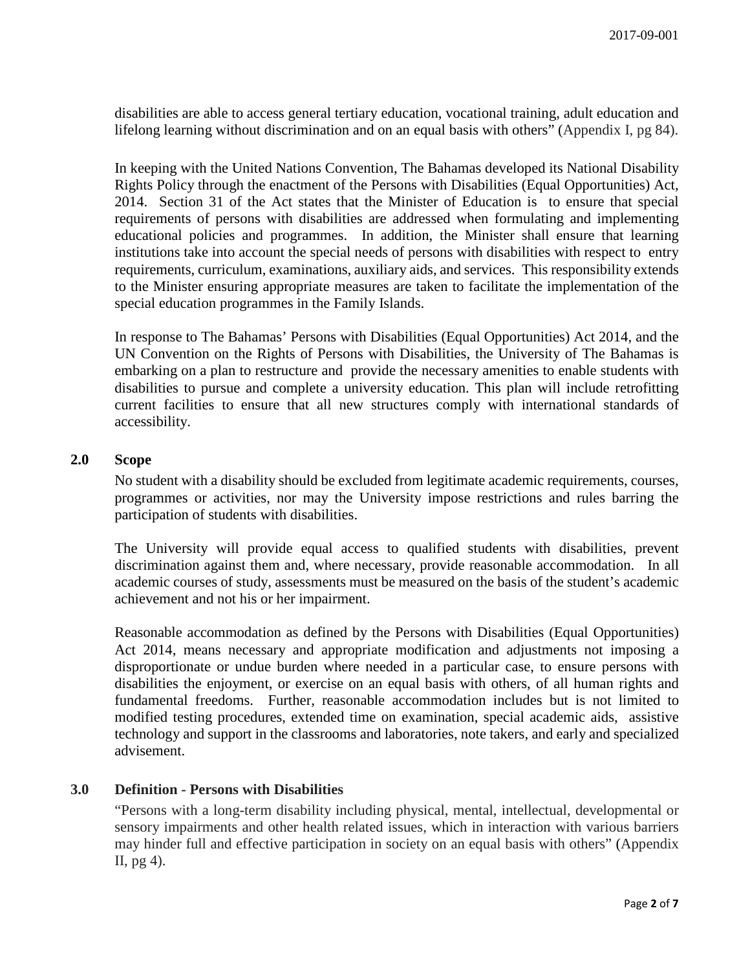disabilities are able to access general tertiary education, vocational training, adult education and lifelong learning without discrimination and on an equal basis with others" (Appendix I, pg 84).

In keeping with the United Nations Convention, The Bahamas developed its National Disability Rights Policy through the enactment of the Persons with Disabilities (Equal Opportunities) Act, 2014. Section 31 of the Act states that the Minister of Education is to ensure that special requirements of persons with disabilities are addressed when formulating and implementing educational policies and programmes. In addition, the Minister shall ensure that learning institutions take into account the special needs of persons with disabilities with respect to entry requirements, curriculum, examinations, auxiliary aids, and services. This responsibility extends to the Minister ensuring appropriate measures are taken to facilitate the implementation of the special education programmes in the Family Islands.

In response to The Bahamas' Persons with Disabilities (Equal Opportunities) Act 2014, and the UN Convention on the Rights of Persons with Disabilities, the University of The Bahamas is embarking on a plan to restructure and provide the necessary amenities to enable students with disabilities to pursue and complete a university education. This plan will include retrofitting current facilities to ensure that all new structures comply with international standards of accessibility.

# **2.0 Scope**

No student with a disability should be excluded from legitimate academic requirements, courses, programmes or activities, nor may the University impose restrictions and rules barring the participation of students with disabilities.

The University will provide equal access to qualified students with disabilities, prevent discrimination against them and, where necessary, provide reasonable accommodation. In all academic courses of study, assessments must be measured on the basis of the student's academic achievement and not his or her impairment.

Reasonable accommodation as defined by the Persons with Disabilities (Equal Opportunities) Act 2014, means necessary and appropriate modification and adjustments not imposing a disproportionate or undue burden where needed in a particular case, to ensure persons with disabilities the enjoyment, or exercise on an equal basis with others, of all human rights and fundamental freedoms. Further, reasonable accommodation includes but is not limited to modified testing procedures, extended time on examination, special academic aids, assistive technology and support in the classrooms and laboratories, note takers, and early and specialized advisement.

### **3.0 Definition - Persons with Disabilities**

"Persons with a long-term disability including physical, mental, intellectual, developmental or sensory impairments and other health related issues, which in interaction with various barriers may hinder full and effective participation in society on an equal basis with others" (Appendix II, pg 4).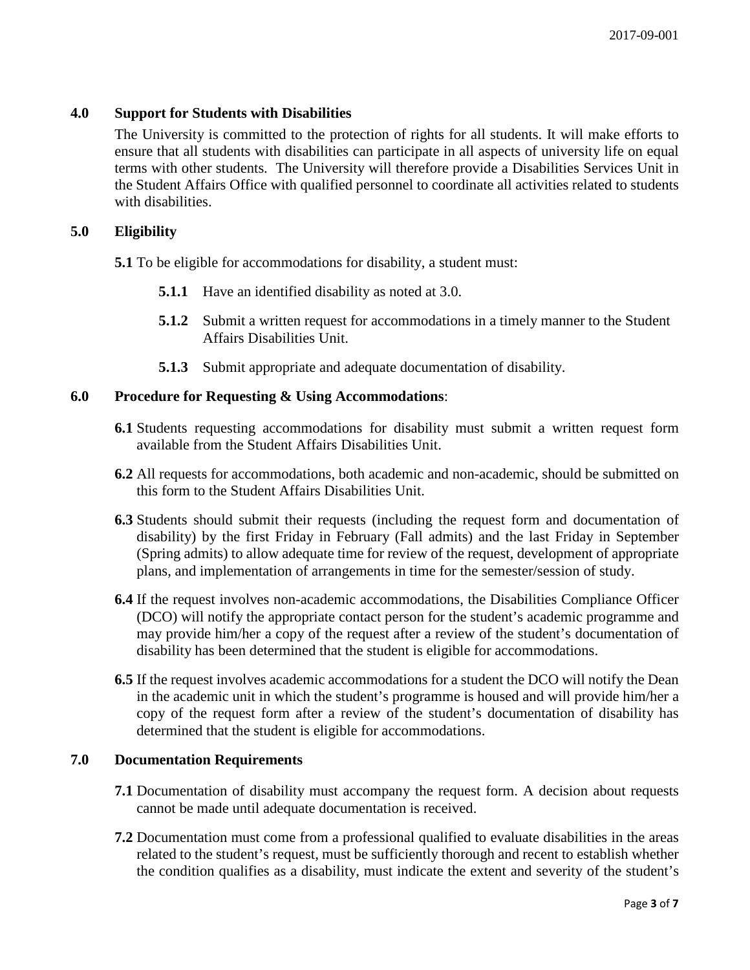# **4.0 Support for Students with Disabilities**

The University is committed to the protection of rights for all students. It will make efforts to ensure that all students with disabilities can participate in all aspects of university life on equal terms with other students. The University will therefore provide a Disabilities Services Unit in the Student Affairs Office with qualified personnel to coordinate all activities related to students with disabilities.

### **5.0 Eligibility**

**5.1** To be eligible for accommodations for disability, a student must:

- **5.1.1** Have an identified disability as noted at 3.0.
- **5.1.2** Submit a written request for accommodations in a timely manner to the Student Affairs Disabilities Unit.
- **5.1.3** Submit appropriate and adequate documentation of disability.

### **6.0 Procedure for Requesting & Using Accommodations**:

- **6.1** Students requesting accommodations for disability must submit a written request form available from the Student Affairs Disabilities Unit.
- **6.2** All requests for accommodations, both academic and non-academic, should be submitted on this form to the Student Affairs Disabilities Unit.
- **6.3** Students should submit their requests (including the request form and documentation of disability) by the first Friday in February (Fall admits) and the last Friday in September (Spring admits) to allow adequate time for review of the request, development of appropriate plans, and implementation of arrangements in time for the semester/session of study.
- **6.4** If the request involves non-academic accommodations, the Disabilities Compliance Officer (DCO) will notify the appropriate contact person for the student's academic programme and may provide him/her a copy of the request after a review of the student's documentation of disability has been determined that the student is eligible for accommodations.
- **6.5** If the request involves academic accommodations for a student the DCO will notify the Dean in the academic unit in which the student's programme is housed and will provide him/her a copy of the request form after a review of the student's documentation of disability has determined that the student is eligible for accommodations.

# **7.0 Documentation Requirements**

- **7.1** Documentation of disability must accompany the request form. A decision about requests cannot be made until adequate documentation is received.
- **7.2** Documentation must come from a professional qualified to evaluate disabilities in the areas related to the student's request, must be sufficiently thorough and recent to establish whether the condition qualifies as a disability, must indicate the extent and severity of the student's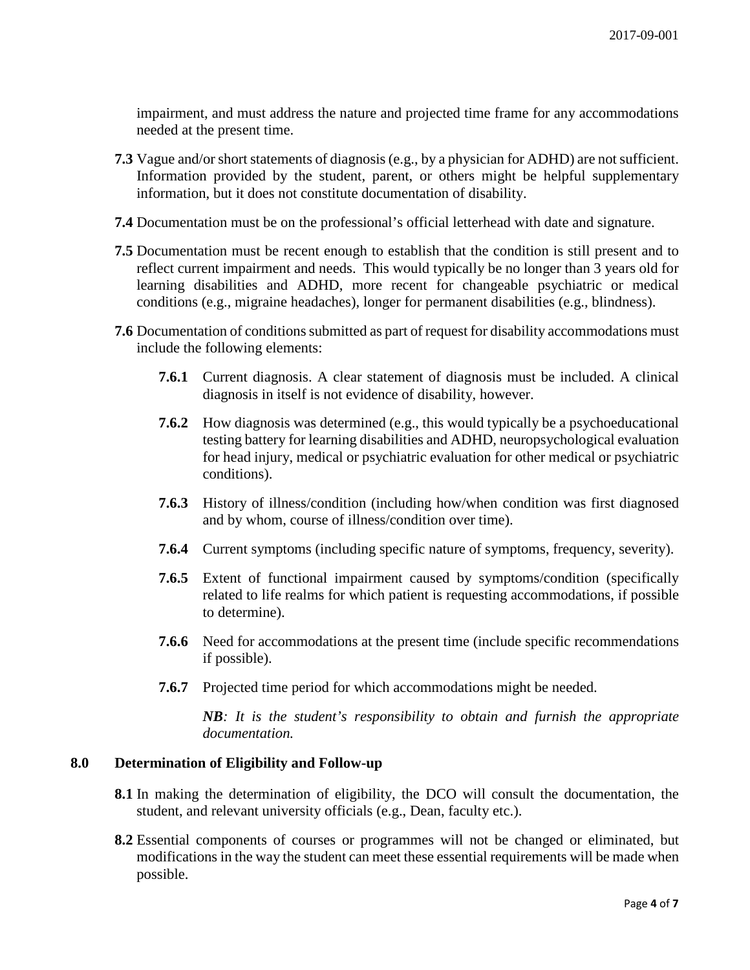impairment, and must address the nature and projected time frame for any accommodations needed at the present time.

- **7.3** Vague and/or short statements of diagnosis (e.g., by a physician for ADHD) are not sufficient. Information provided by the student, parent, or others might be helpful supplementary information, but it does not constitute documentation of disability.
- **7.4** Documentation must be on the professional's official letterhead with date and signature.
- **7.5** Documentation must be recent enough to establish that the condition is still present and to reflect current impairment and needs. This would typically be no longer than 3 years old for learning disabilities and ADHD, more recent for changeable psychiatric or medical conditions (e.g., migraine headaches), longer for permanent disabilities (e.g., blindness).
- **7.6** Documentation of conditions submitted as part of request for disability accommodations must include the following elements:
	- **7.6.1** Current diagnosis. A clear statement of diagnosis must be included. A clinical diagnosis in itself is not evidence of disability, however.
	- **7.6.2** How diagnosis was determined (e.g., this would typically be a psychoeducational testing battery for learning disabilities and ADHD, neuropsychological evaluation for head injury, medical or psychiatric evaluation for other medical or psychiatric conditions).
	- **7.6.3** History of illness/condition (including how/when condition was first diagnosed and by whom, course of illness/condition over time).
	- **7.6.4** Current symptoms (including specific nature of symptoms, frequency, severity).
	- **7.6.5** Extent of functional impairment caused by symptoms/condition (specifically related to life realms for which patient is requesting accommodations, if possible to determine).
	- **7.6.6** Need for accommodations at the present time (include specific recommendations if possible).
	- **7.6.7** Projected time period for which accommodations might be needed.

*NB: It is the student's responsibility to obtain and furnish the appropriate documentation.*

### **8.0 Determination of Eligibility and Follow-up**

- **8.1** In making the determination of eligibility, the DCO will consult the documentation, the student, and relevant university officials (e.g., Dean, faculty etc.).
- **8.2** Essential components of courses or programmes will not be changed or eliminated, but modifications in the way the student can meet these essential requirements will be made when possible.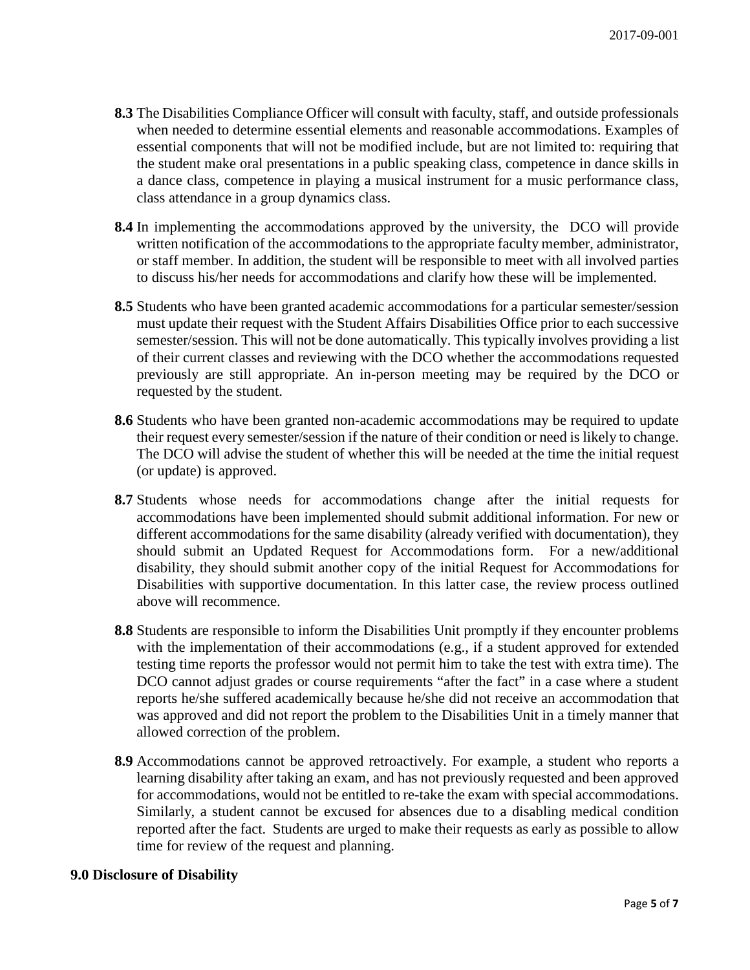- **8.3** The Disabilities Compliance Officer will consult with faculty, staff, and outside professionals when needed to determine essential elements and reasonable accommodations. Examples of essential components that will not be modified include, but are not limited to: requiring that the student make oral presentations in a public speaking class, competence in dance skills in a dance class, competence in playing a musical instrument for a music performance class, class attendance in a group dynamics class.
- **8.4** In implementing the accommodations approved by the university, the DCO will provide written notification of the accommodations to the appropriate faculty member, administrator, or staff member. In addition, the student will be responsible to meet with all involved parties to discuss his/her needs for accommodations and clarify how these will be implemented.
- **8.5** Students who have been granted academic accommodations for a particular semester/session must update their request with the Student Affairs Disabilities Office prior to each successive semester/session. This will not be done automatically. This typically involves providing a list of their current classes and reviewing with the DCO whether the accommodations requested previously are still appropriate. An in-person meeting may be required by the DCO or requested by the student.
- **8.6** Students who have been granted non-academic accommodations may be required to update their request every semester/session if the nature of their condition or need is likely to change. The DCO will advise the student of whether this will be needed at the time the initial request (or update) is approved.
- **8.7** Students whose needs for accommodations change after the initial requests for accommodations have been implemented should submit additional information. For new or different accommodations for the same disability (already verified with documentation), they should submit an Updated Request for Accommodations form. For a new/additional disability, they should submit another copy of the initial Request for Accommodations for Disabilities with supportive documentation. In this latter case, the review process outlined above will recommence.
- **8.8** Students are responsible to inform the Disabilities Unit promptly if they encounter problems with the implementation of their accommodations (e.g., if a student approved for extended testing time reports the professor would not permit him to take the test with extra time). The DCO cannot adjust grades or course requirements "after the fact" in a case where a student reports he/she suffered academically because he/she did not receive an accommodation that was approved and did not report the problem to the Disabilities Unit in a timely manner that allowed correction of the problem.
- **8.9** Accommodations cannot be approved retroactively. For example, a student who reports a learning disability after taking an exam, and has not previously requested and been approved for accommodations, would not be entitled to re-take the exam with special accommodations. Similarly, a student cannot be excused for absences due to a disabling medical condition reported after the fact. Students are urged to make their requests as early as possible to allow time for review of the request and planning.

### **9.0 Disclosure of Disability**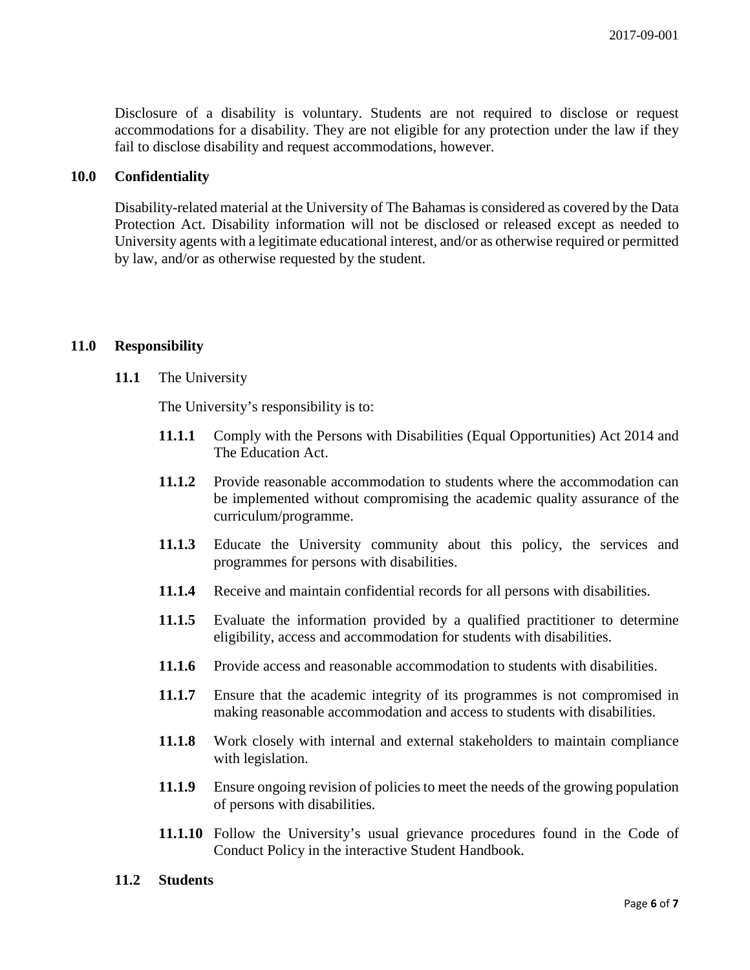Disclosure of a disability is voluntary. Students are not required to disclose or request accommodations for a disability. They are not eligible for any protection under the law if they fail to disclose disability and request accommodations, however.

# **10.0 Confidentiality**

Disability-related material at the University of The Bahamas is considered as covered by the Data Protection Act. Disability information will not be disclosed or released except as needed to University agents with a legitimate educational interest, and/or as otherwise required or permitted by law, and/or as otherwise requested by the student.

### **11.0 Responsibility**

#### **11.1** The University

The University's responsibility is to:

- **11.1.1** Comply with the Persons with Disabilities (Equal Opportunities) Act 2014 and The Education Act.
- **11.1.2** Provide reasonable accommodation to students where the accommodation can be implemented without compromising the academic quality assurance of the curriculum/programme.
- **11.1.3** Educate the University community about this policy, the services and programmes for persons with disabilities.
- **11.1.4** Receive and maintain confidential records for all persons with disabilities.
- **11.1.5** Evaluate the information provided by a qualified practitioner to determine eligibility, access and accommodation for students with disabilities.
- **11.1.6** Provide access and reasonable accommodation to students with disabilities.
- **11.1.7** Ensure that the academic integrity of its programmes is not compromised in making reasonable accommodation and access to students with disabilities.
- **11.1.8** Work closely with internal and external stakeholders to maintain compliance with legislation.
- **11.1.9** Ensure ongoing revision of policies to meet the needs of the growing population of persons with disabilities.
- **11.1.10** Follow the University's usual grievance procedures found in the Code of Conduct Policy in the interactive Student Handbook.

#### **11.2 Students**